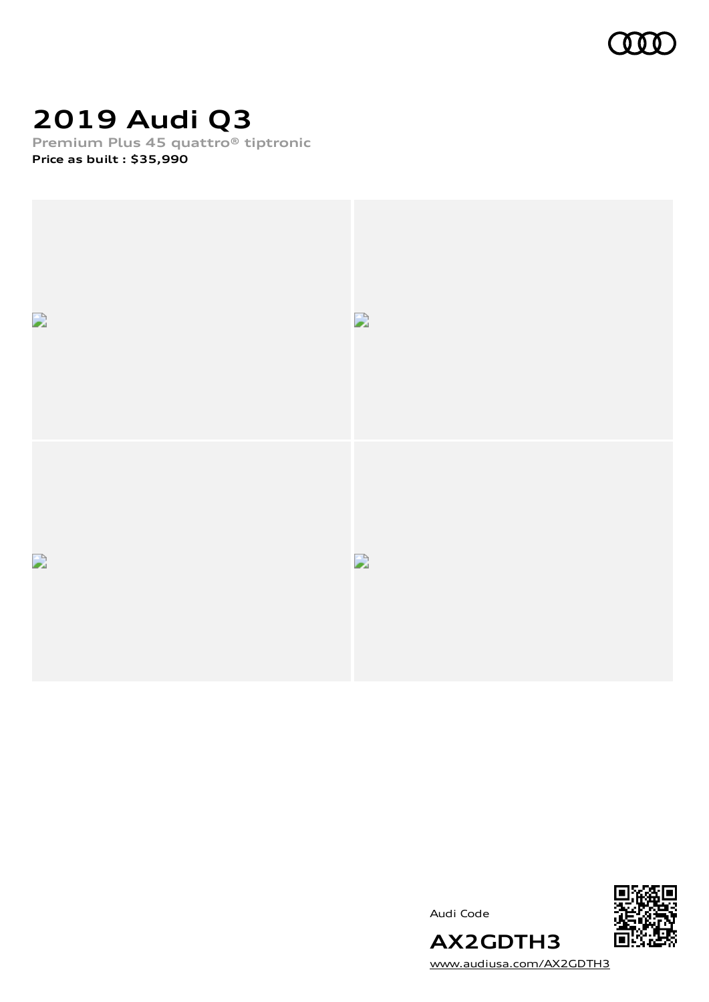

# **2019 Audi Q3**

**Premium Plus 45 quattro® tiptronic**

**Price as built [:](#page-8-0) \$35,990**



Audi Code



[www.audiusa.com/AX2GDTH3](https://www.audiusa.com/AX2GDTH3)

**AX2GDTH3**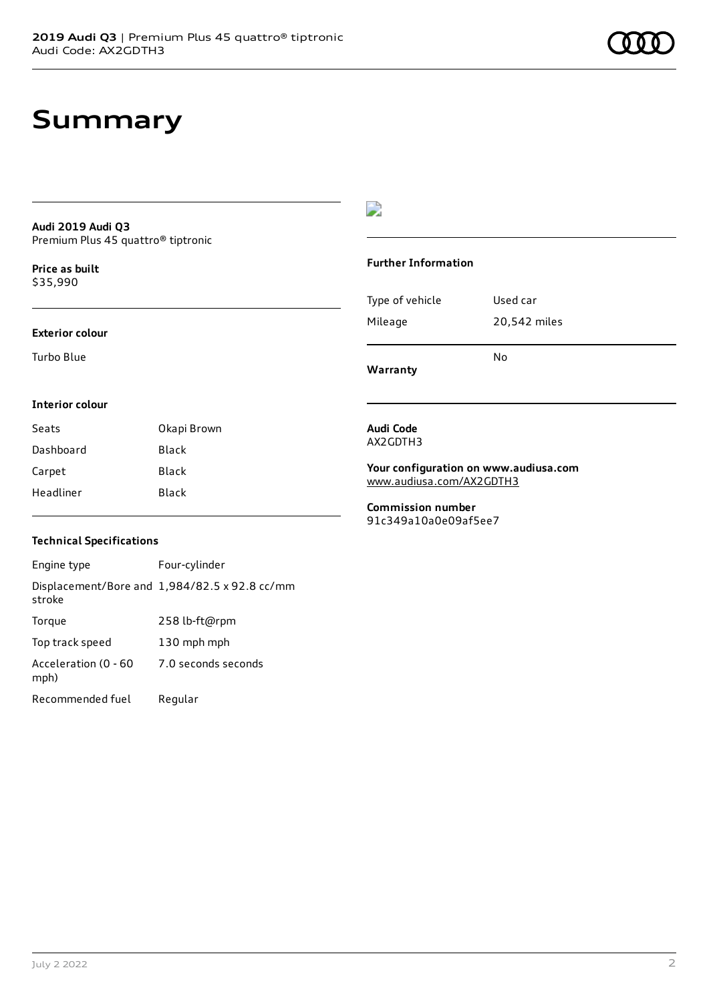#### **Audi 2019 Audi Q3** Premium Plus 45 quattro® tiptronic

**Price as buil[t](#page-8-0)** \$35,990

#### **Exterior colour**

Turbo Blue

### $\overline{\phantom{a}}$

#### **Further Information**

|                 | N٥           |
|-----------------|--------------|
| Mileage         | 20,542 miles |
| Type of vehicle | Used car     |

**Warranty**

#### **Interior colour**

| Seats     | Okapi Brown  |
|-----------|--------------|
| Dashboard | <b>Black</b> |
| Carpet    | Black        |
| Headliner | Black        |

### **Technical Specifications**

| Engine type                  | Four-cylinder                                 |
|------------------------------|-----------------------------------------------|
| stroke                       | Displacement/Bore and 1,984/82.5 x 92.8 cc/mm |
| Torque                       | 258 lb-ft@rpm                                 |
| Top track speed              | 130 mph mph                                   |
| Acceleration (0 - 60<br>mph) | 7.0 seconds seconds                           |
| Recommended fuel             | Regular                                       |

#### **Audi Code** AX2GDTH3

**Your configuration on www.audiusa.com** [www.audiusa.com/AX2GDTH3](https://www.audiusa.com/AX2GDTH3)

**Commission number** 91c349a10a0e09af5ee7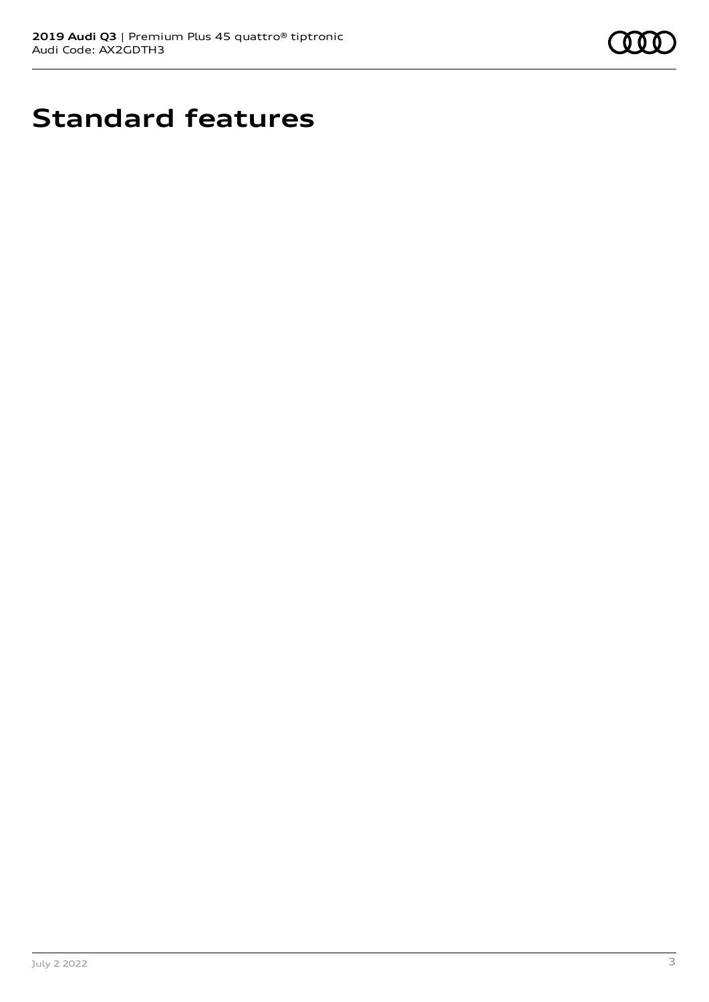

# **Standard features**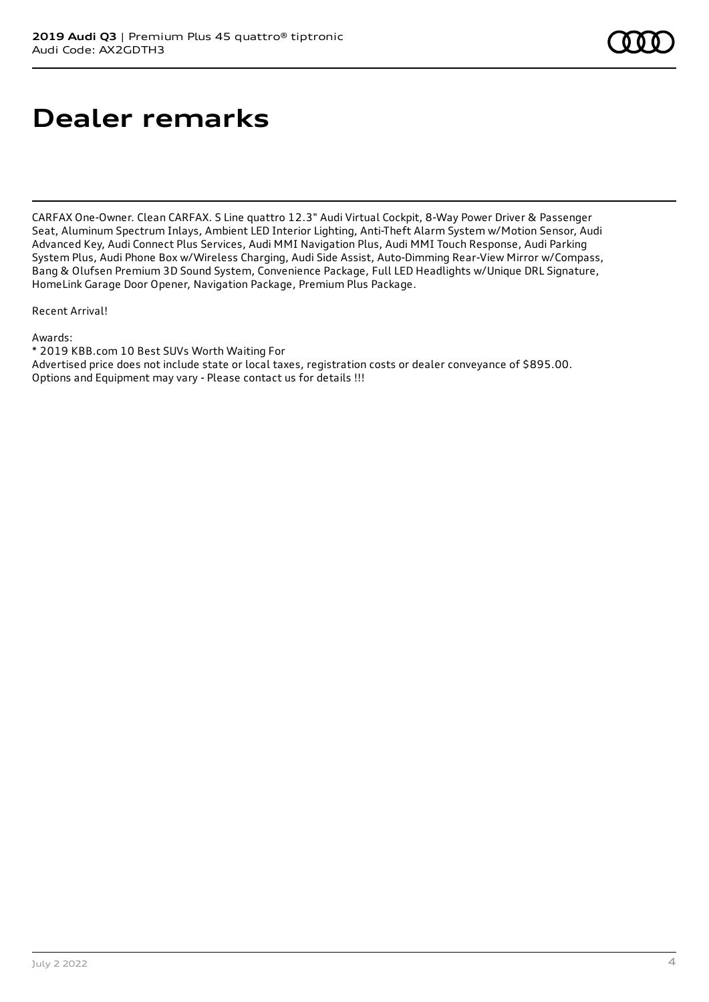# **Dealer remarks**

CARFAX One-Owner. Clean CARFAX. S Line quattro 12.3" Audi Virtual Cockpit, 8-Way Power Driver & Passenger Seat, Aluminum Spectrum Inlays, Ambient LED Interior Lighting, Anti-Theft Alarm System w/Motion Sensor, Audi Advanced Key, Audi Connect Plus Services, Audi MMI Navigation Plus, Audi MMI Touch Response, Audi Parking System Plus, Audi Phone Box w/Wireless Charging, Audi Side Assist, Auto-Dimming Rear-View Mirror w/Compass, Bang & Olufsen Premium 3D Sound System, Convenience Package, Full LED Headlights w/Unique DRL Signature, HomeLink Garage Door Opener, Navigation Package, Premium Plus Package.

Recent Arrival!

Awards:

\* 2019 KBB.com 10 Best SUVs Worth Waiting For Advertised price does not include state or local taxes, registration costs or dealer conveyance of \$895.00. Options and Equipment may vary - Please contact us for details !!!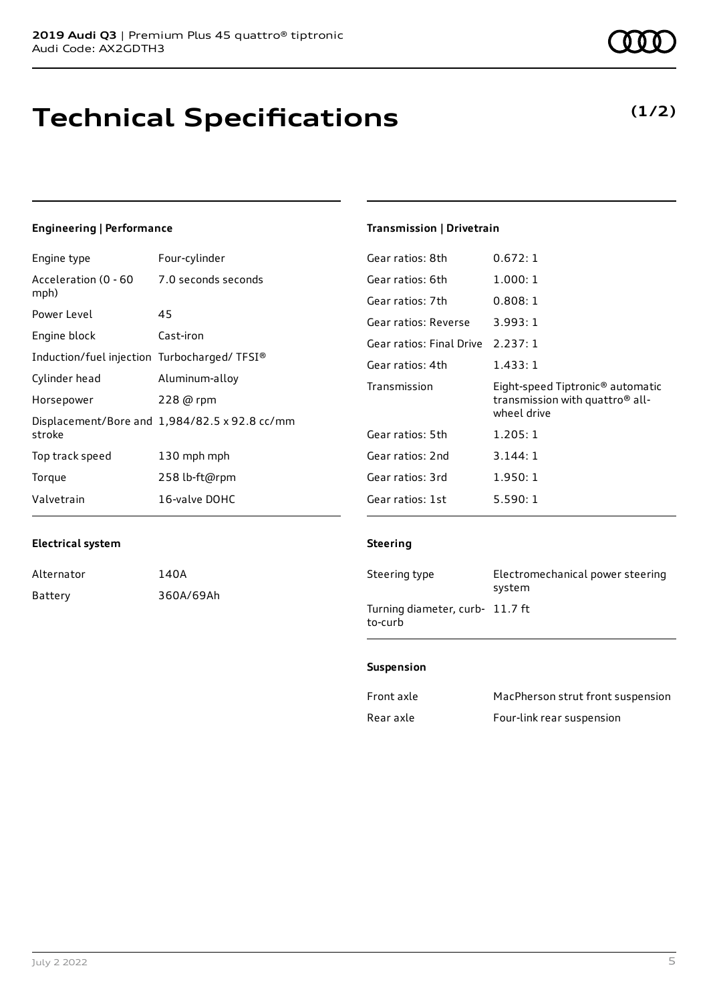# **Technical Specifications**

### **Engineering | Performance**

| Engine type                                             | Four-cylinder       | Gear ratios: 8th         | 0.672:1                                      |
|---------------------------------------------------------|---------------------|--------------------------|----------------------------------------------|
| Acceleration (0 - 60                                    | 7.0 seconds seconds | Gear ratios: 6th         | 1.000:1                                      |
| mph)                                                    |                     | Gear ratios: 7th         | 0.808:1                                      |
| Power Level                                             | 45                  | Gear ratios: Reverse     | 3.993:1                                      |
| Engine block                                            | Cast-iron           | Gear ratios: Final Drive | 2.237:1                                      |
| Induction/fuel injection Turbocharged/TFSI®             |                     | Gear ratios: 4th         | 1.433:1                                      |
| Cylinder head                                           | Aluminum-alloy      | Transmission             | Eight-speed Tiptronic <sup>®</sup> automatic |
| Horsepower                                              | 228 @ rpm           |                          | transmission with quattro <sup>®</sup> all-  |
| Displacement/Bore and 1,984/82.5 x 92.8 cc/mm<br>stroke |                     | wheel drive              |                                              |
|                                                         | Gear ratios: 5th    | 1.205:1                  |                                              |
| Top track speed                                         | 130 mph mph         | Gear ratios: 2nd         | 3.144: 1                                     |
| Torque                                                  | 258 lb-ft@rpm       | Gear ratios: 3rd         | 1.950:1                                      |
| Valvetrain                                              | 16-valve DOHC       | Gear ratios: 1st         | 5.590:1                                      |

### **Electrical system**

| Alternator | 140A      |
|------------|-----------|
| Batterv    | 360A/69Ah |

## **Transmission | Drivetrain**

#### **Steering**

| Steering type                              | Electromechanical power steering<br>system |
|--------------------------------------------|--------------------------------------------|
| Turning diameter, curb- 11.7 ft<br>to-curb |                                            |

#### **Suspension**

| Front axle | MacPherson strut front suspension |
|------------|-----------------------------------|
| Rear axle  | Four-link rear suspension         |

## **(1/2)**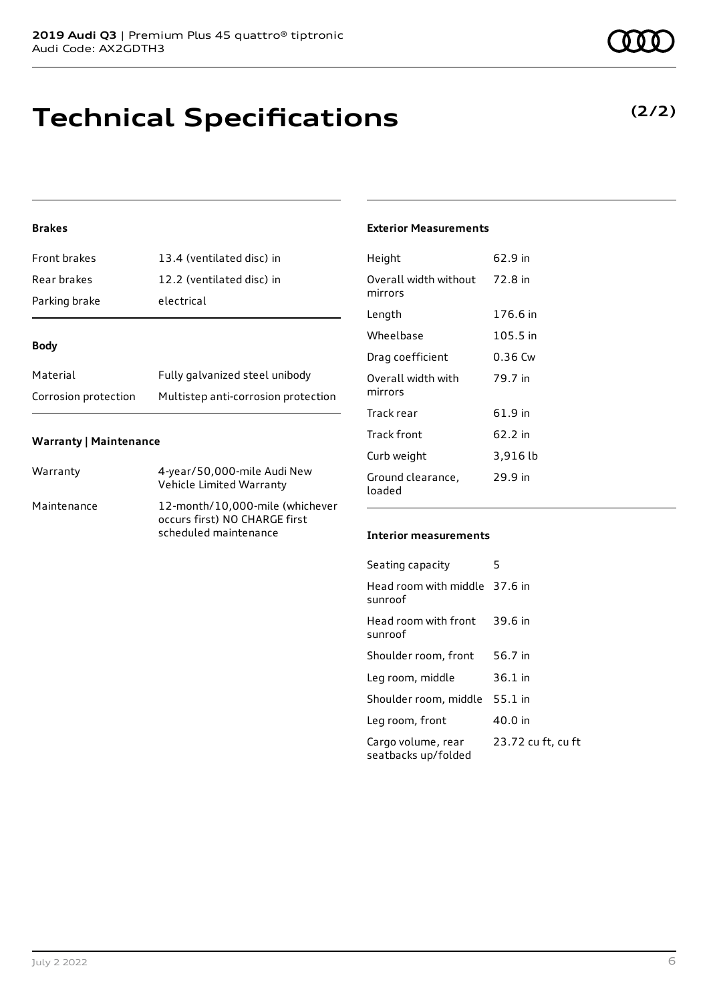## **Technical Specifications**

### **Brakes**

| <b>Front brakes</b> | 13.4 (ventilated disc) in |
|---------------------|---------------------------|
| Rear brakes         | 12.2 (ventilated disc) in |
| Parking brake       | electrical                |

#### **Body**

| Material             | Fully galvanized steel unibody      |
|----------------------|-------------------------------------|
| Corrosion protection | Multistep anti-corrosion protection |

#### **Warranty | Maintenance**

| Warranty    | 4-year/50,000-mile Audi New<br>Vehicle Limited Warranty                                   |
|-------------|-------------------------------------------------------------------------------------------|
| Maintenance | 12-month/10,000-mile (whichever<br>occurs first) NO CHARGE first<br>scheduled maintenance |

### **Exterior Measurements**

| Height                           | 62.9 in   |
|----------------------------------|-----------|
| Overall width without<br>mirrors | 72.8 in   |
| Length                           | 176.6 in  |
| Wheelbase                        | 105.5 in  |
| Drag coefficient                 | $0.36$ Cw |
| Overall width with<br>mirrors    | 79.7 in   |
| Track rear                       | 61.9 in   |
| Track front                      | 62.2 in   |
| Curb weight                      | 3,916 lb  |
| Ground clearance,<br>loaded      | 29.9 in   |

### **Interior measurements**

| Seating capacity                          | 5                  |
|-------------------------------------------|--------------------|
| Head room with middle 37.6 in<br>sunroof  |                    |
| Head room with front<br>sunroof           | 39.6 in            |
| Shoulder room, front                      | 56.7 in            |
| Leg room, middle                          | 36.1 in            |
| Shoulder room, middle                     | 55.1 in            |
| Leg room, front                           | 40.0 in            |
| Cargo volume, rear<br>seatbacks up/folded | 23.72 cu ft, cu ft |

### **(2/2)**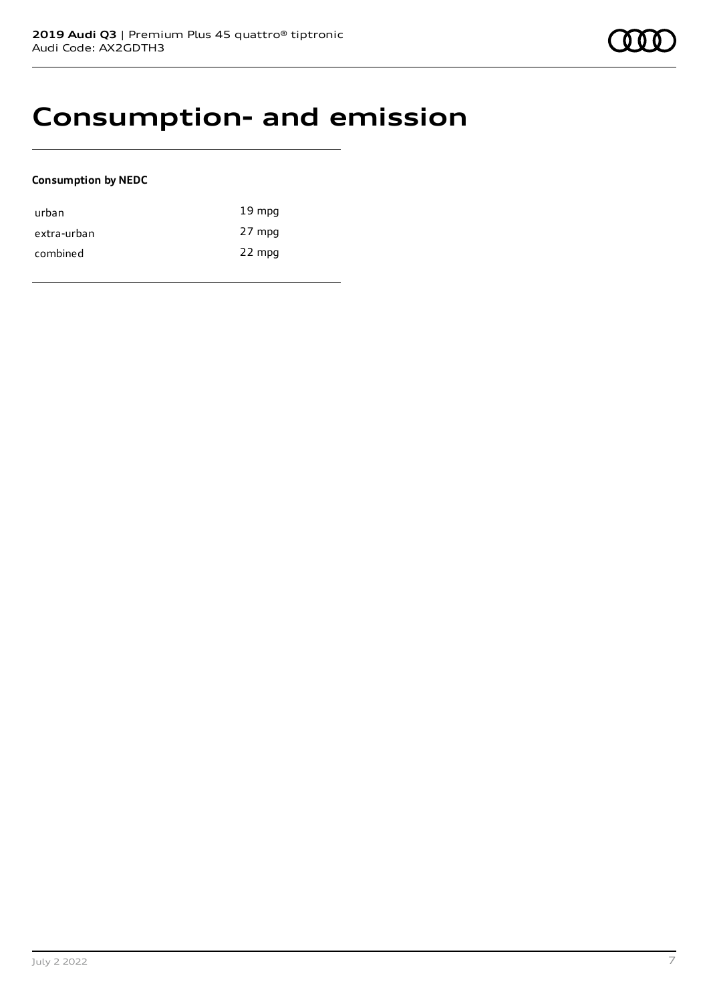## **Consumption- and emission**

#### **Consumption by NEDC**

| urban       | $19 \text{ mpg}$ |
|-------------|------------------|
| extra-urban | 27 mpg           |
| combined    | 22 mpg           |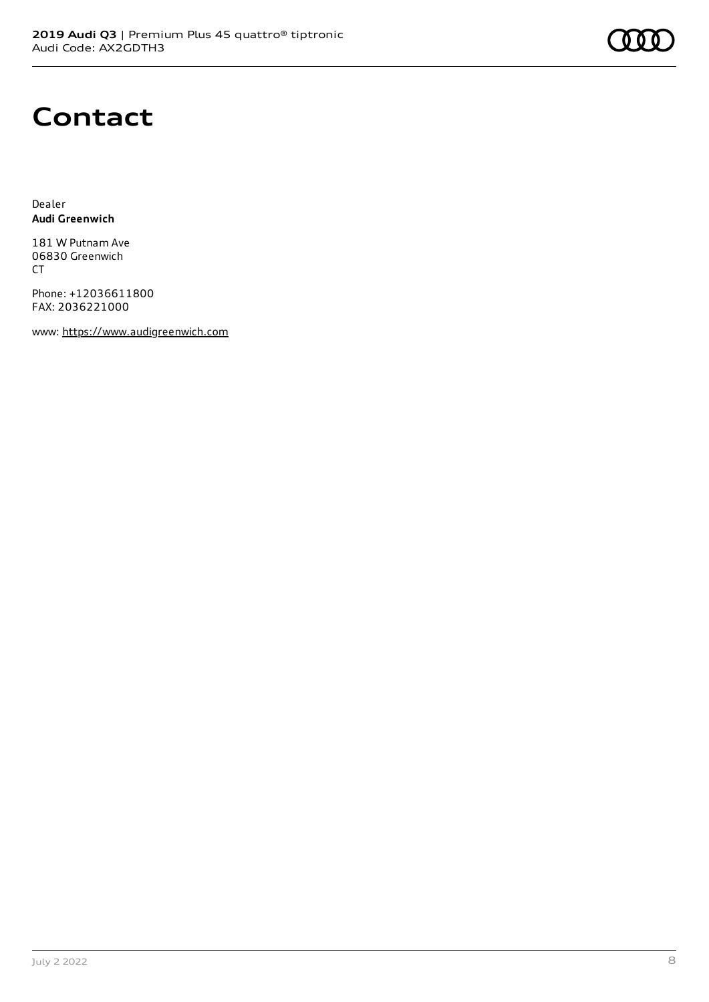# **Contact**

Dealer **Audi Greenwich**

181 W Putnam Ave 06830 Greenwich CT

Phone: +12036611800 FAX: 2036221000

www: [https://www.audigreenwich.com](https://www.audigreenwich.com/)